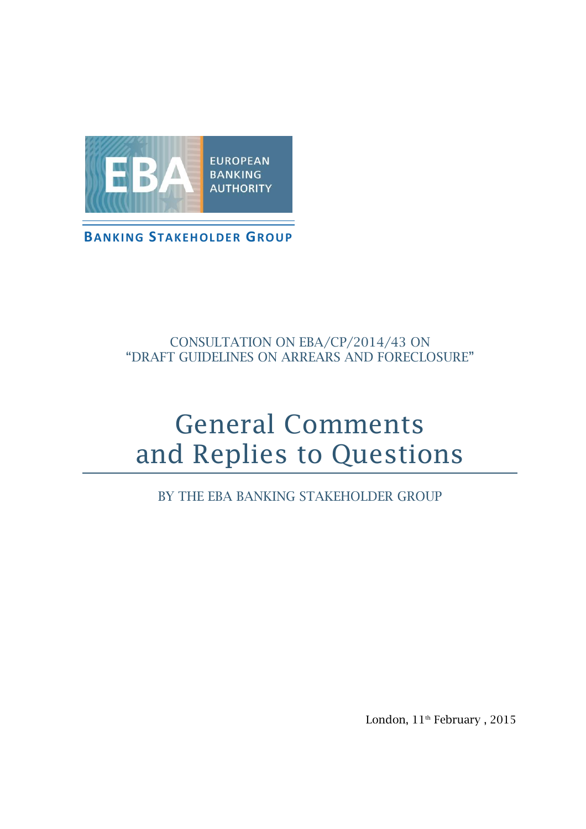

# CONSULTATION ON EBA/CP/2014/43 ON "DRAFT GUIDELINES ON ARREARS AND FORECLOSURE"

# General Comments and Replies to Questions

BY THE EBA BANKING STAKEHOLDER GROUP

London,  $11^{\text{th}}$  February ,  $2015$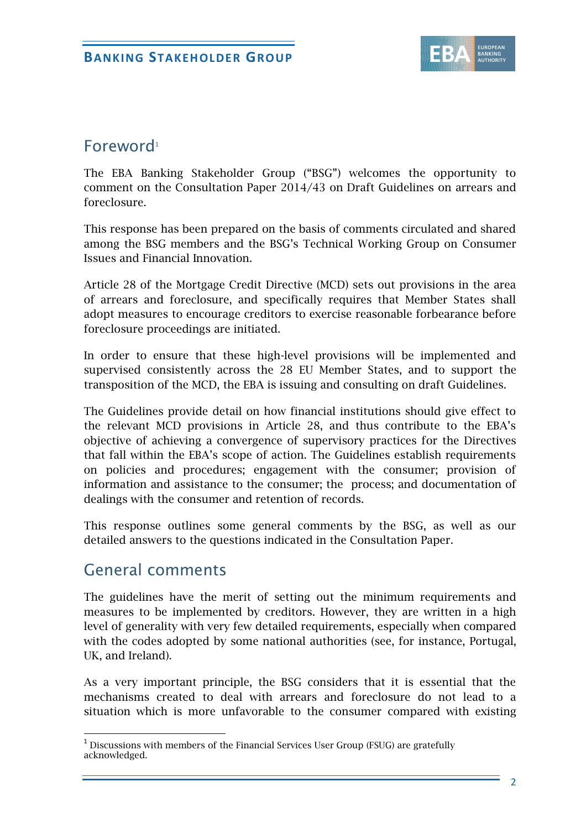

# Foreword<sup>1</sup>

The EBA Banking Stakeholder Group ("BSG") welcomes the opportunity to comment on the Consultation Paper 2014/43 on Draft Guidelines on arrears and foreclosure.

This response has been prepared on the basis of comments circulated and shared among the BSG members and the BSG's Technical Working Group on Consumer Issues and Financial Innovation.

Article 28 of the Mortgage Credit Directive (MCD) sets out provisions in the area of arrears and foreclosure, and specifically requires that Member States shall adopt measures to encourage creditors to exercise reasonable forbearance before foreclosure proceedings are initiated.

In order to ensure that these high-level provisions will be implemented and supervised consistently across the 28 EU Member States, and to support the transposition of the MCD, the EBA is issuing and consulting on draft Guidelines.

The Guidelines provide detail on how financial institutions should give effect to the relevant MCD provisions in Article 28, and thus contribute to the EBA's objective of achieving a convergence of supervisory practices for the Directives that fall within the EBA's scope of action. The Guidelines establish requirements on policies and procedures; engagement with the consumer; provision of information and assistance to the consumer; the process; and documentation of dealings with the consumer and retention of records.

This response outlines some general comments by the BSG, as well as our detailed answers to the questions indicated in the Consultation Paper.

# General comments

-

The guidelines have the merit of setting out the minimum requirements and measures to be implemented by creditors. However, they are written in a high level of generality with very few detailed requirements, especially when compared with the codes adopted by some national authorities (see, for instance, Portugal, UK, and Ireland).

As a very important principle, the BSG considers that it is essential that the mechanisms created to deal with arrears and foreclosure do not lead to a situation which is more unfavorable to the consumer compared with existing

 $1$  Discussions with members of the Financial Services User Group (FSUG) are gratefully acknowledged.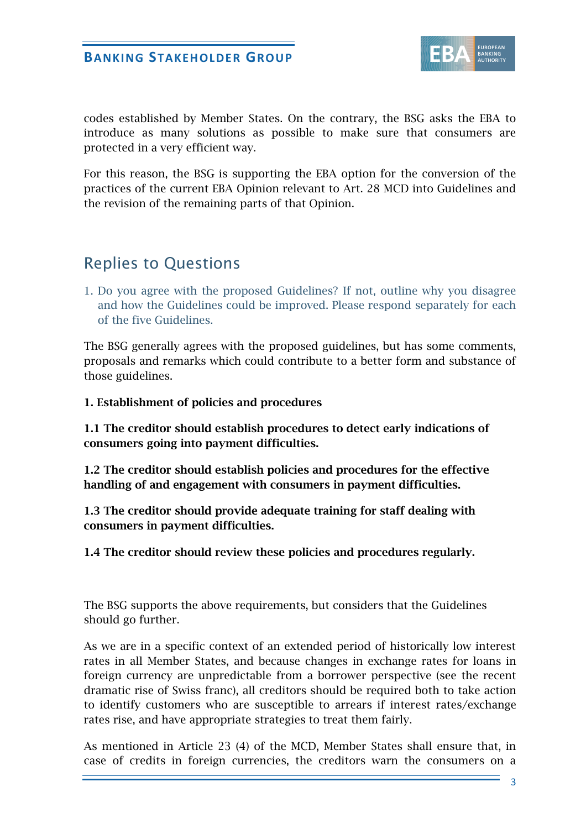

codes established by Member States. On the contrary, the BSG asks the EBA to introduce as many solutions as possible to make sure that consumers are protected in a very efficient way.

For this reason, the BSG is supporting the EBA option for the conversion of the practices of the current EBA Opinion relevant to Art. 28 MCD into Guidelines and the revision of the remaining parts of that Opinion.

# Replies to Questions

1. Do you agree with the proposed Guidelines? If not, outline why you disagree and how the Guidelines could be improved. Please respond separately for each of the five Guidelines.

The BSG generally agrees with the proposed guidelines, but has some comments, proposals and remarks which could contribute to a better form and substance of those guidelines.

**1. Establishment of policies and procedures** 

**1.1 The creditor should establish procedures to detect early indications of consumers going into payment difficulties.**

**1.2 The creditor should establish policies and procedures for the effective handling of and engagement with consumers in payment difficulties.**

**1.3 The creditor should provide adequate training for staff dealing with consumers in payment difficulties.**

**1.4 The creditor should review these policies and procedures regularly.** 

The BSG supports the above requirements, but considers that the Guidelines should go further.

As we are in a specific context of an extended period of historically low interest rates in all Member States, and because changes in exchange rates for loans in foreign currency are unpredictable from a borrower perspective (see the recent dramatic rise of Swiss franc), all creditors should be required both to take action to identify customers who are susceptible to arrears if interest rates/exchange rates rise, and have appropriate strategies to treat them fairly.

As mentioned in Article 23 (4) of the MCD, Member States shall ensure that, in case of credits in foreign currencies, the creditors warn the consumers on a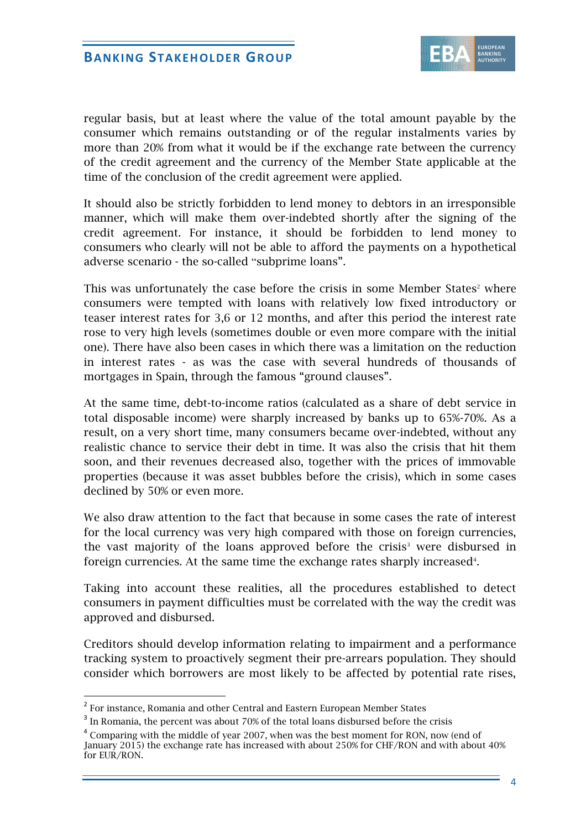

regular basis, but at least where the value of the total amount payable by the consumer which remains outstanding or of the regular instalments varies by more than 20% from what it would be if the exchange rate between the currency of the credit agreement and the currency of the Member State applicable at the time of the conclusion of the credit agreement were applied.

It should also be strictly forbidden to lend money to debtors in an irresponsible manner, which will make them over-indebted shortly after the signing of the credit agreement. For instance, it should be forbidden to lend money to consumers who clearly will not be able to afford the payments on a hypothetical adverse scenario - the so-called "subprime loans".

This was unfortunately the case before the crisis in some Member States<sup>2</sup> where consumers were tempted with loans with relatively low fixed introductory or teaser interest rates for 3,6 or 12 months, and after this period the interest rate rose to very high levels (sometimes double or even more compare with the initial one). There have also been cases in which there was a limitation on the reduction in interest rates - as was the case with several hundreds of thousands of mortgages in Spain, through the famous "ground clauses".

At the same time, debt-to-income ratios (calculated as a share of debt service in total disposable income) were sharply increased by banks up to 65%-70%. As a result, on a very short time, many consumers became over-indebted, without any realistic chance to service their debt in time. It was also the crisis that hit them soon, and their revenues decreased also, together with the prices of immovable properties (because it was asset bubbles before the crisis), which in some cases declined by 50% or even more.

We also draw attention to the fact that because in some cases the rate of interest for the local currency was very high compared with those on foreign currencies, the vast majority of the loans approved before the crisis<sup>3</sup> were disbursed in foreign currencies. At the same time the exchange rates sharply increased $4$ .

Taking into account these realities, all the procedures established to detect consumers in payment difficulties must be correlated with the way the credit was approved and disbursed.

Creditors should develop information relating to impairment and a performance tracking system to proactively segment their pre-arrears population. They should consider which borrowers are most likely to be affected by potential rate rises,

-

<sup>&</sup>lt;sup>2</sup> For instance, Romania and other Central and Eastern European Member States

<sup>&</sup>lt;sup>3</sup> In Romania, the percent was about 70% of the total loans disbursed before the crisis

 $4$  Comparing with the middle of year 2007, when was the best moment for RON, now (end of January 2015) the exchange rate has increased with about 250% for CHF/RON and with about 40% for EUR/RON.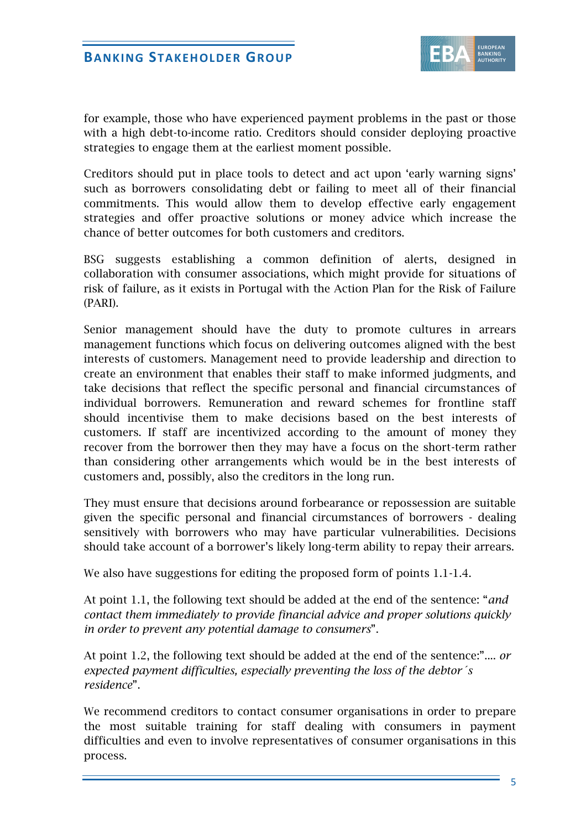

for example, those who have experienced payment problems in the past or those with a high debt-to-income ratio. Creditors should consider deploying proactive strategies to engage them at the earliest moment possible.

Creditors should put in place tools to detect and act upon 'early warning signs' such as borrowers consolidating debt or failing to meet all of their financial commitments. This would allow them to develop effective early engagement strategies and offer proactive solutions or money advice which increase the chance of better outcomes for both customers and creditors.

BSG suggests establishing a common definition of alerts, designed in collaboration with consumer associations, which might provide for situations of risk of failure, as it exists in Portugal with the Action Plan for the Risk of Failure (PARI).

Senior management should have the duty to promote cultures in arrears management functions which focus on delivering outcomes aligned with the best interests of customers. Management need to provide leadership and direction to create an environment that enables their staff to make informed judgments, and take decisions that reflect the specific personal and financial circumstances of individual borrowers. Remuneration and reward schemes for frontline staff should incentivise them to make decisions based on the best interests of customers. If staff are incentivized according to the amount of money they recover from the borrower then they may have a focus on the short-term rather than considering other arrangements which would be in the best interests of customers and, possibly, also the creditors in the long run.

They must ensure that decisions around forbearance or repossession are suitable given the specific personal and financial circumstances of borrowers - dealing sensitively with borrowers who may have particular vulnerabilities. Decisions should take account of a borrower's likely long-term ability to repay their arrears.

We also have suggestions for editing the proposed form of points 1.1-1.4.

At point 1.1, the following text should be added at the end of the sentence: "*and contact them immediately to provide financial advice and proper solutions quickly in order to prevent any potential damage to consumers*".

At point 1.2, the following text should be added at the end of the sentence:".... *or expected payment difficulties, especially preventing the loss of the debtor´s residence*".

We recommend creditors to contact consumer organisations in order to prepare the most suitable training for staff dealing with consumers in payment difficulties and even to involve representatives of consumer organisations in this process.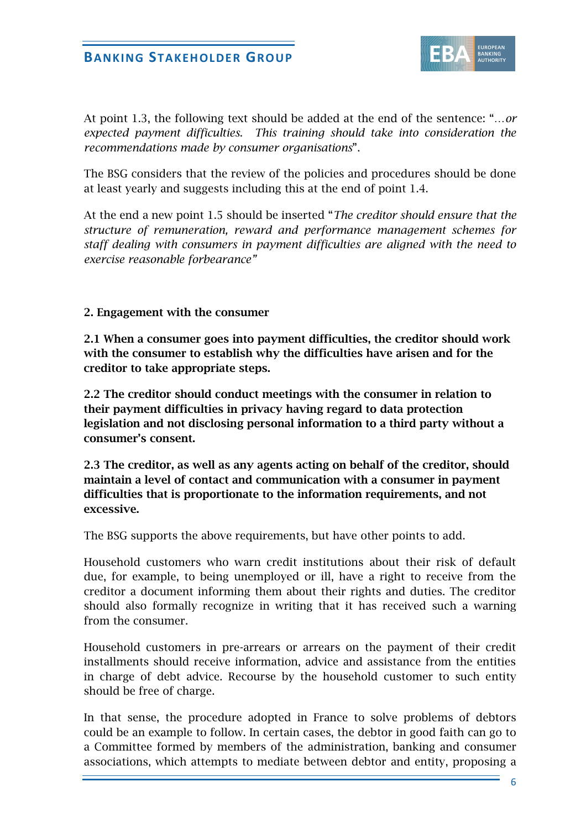

At point 1.3, the following text should be added at the end of the sentence: "…*or expected payment difficulties*. *This training should take into consideration the recommendations made by consumer organisations*".

The BSG considers that the review of the policies and procedures should be done at least yearly and suggests including this at the end of point 1.4.

At the end a new point 1.5 should be inserted "*The creditor should ensure that the structure of remuneration, reward and performance management schemes for staff dealing with consumers in payment difficulties are aligned with the need to exercise reasonable forbearance"*

#### **2. Engagement with the consumer**

**2.1 When a consumer goes into payment difficulties, the creditor should work with the consumer to establish why the difficulties have arisen and for the creditor to take appropriate steps.** 

**2.2 The creditor should conduct meetings with the consumer in relation to their payment difficulties in privacy having regard to data protection legislation and not disclosing personal information to a third party without a consumer's consent.** 

**2.3 The creditor, as well as any agents acting on behalf of the creditor, should maintain a level of contact and communication with a consumer in payment difficulties that is proportionate to the information requirements, and not excessive.** 

The BSG supports the above requirements, but have other points to add.

Household customers who warn credit institutions about their risk of default due, for example, to being unemployed or ill, have a right to receive from the creditor a document informing them about their rights and duties. The creditor should also formally recognize in writing that it has received such a warning from the consumer.

Household customers in pre-arrears or arrears on the payment of their credit installments should receive information, advice and assistance from the entities in charge of debt advice. Recourse by the household customer to such entity should be free of charge.

In that sense, the procedure adopted in France to solve problems of debtors could be an example to follow. In certain cases, the debtor in good faith can go to a Committee formed by members of the administration, banking and consumer associations, which attempts to mediate between debtor and entity, proposing a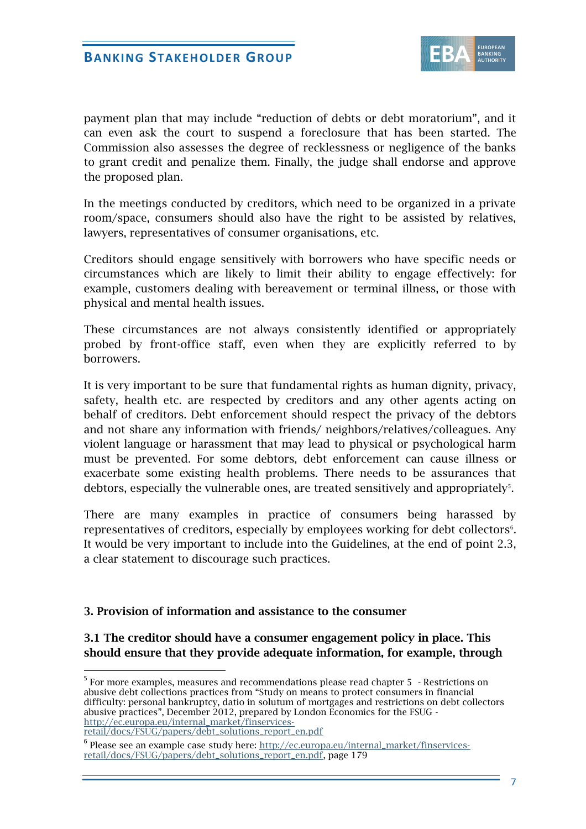

payment plan that may include "reduction of debts or debt moratorium", and it can even ask the court to suspend a foreclosure that has been started. The Commission also assesses the degree of recklessness or negligence of the banks to grant credit and penalize them. Finally, the judge shall endorse and approve the proposed plan.

In the meetings conducted by creditors, which need to be organized in a private room/space, consumers should also have the right to be assisted by relatives, lawyers, representatives of consumer organisations, etc.

Creditors should engage sensitively with borrowers who have specific needs or circumstances which are likely to limit their ability to engage effectively: for example, customers dealing with bereavement or terminal illness, or those with physical and mental health issues.

These circumstances are not always consistently identified or appropriately probed by front-office staff, even when they are explicitly referred to by borrowers.

It is very important to be sure that fundamental rights as human dignity, privacy, safety, health etc. are respected by creditors and any other agents acting on behalf of creditors. Debt enforcement should respect the privacy of the debtors and not share any information with friends/ neighbors/relatives/colleagues. Any violent language or harassment that may lead to physical or psychological harm must be prevented. For some debtors, debt enforcement can cause illness or exacerbate some existing health problems. There needs to be assurances that debtors, especially the vulnerable ones, are treated sensitively and appropriately $5$ .

There are many examples in practice of consumers being harassed by representatives of creditors, especially by employees working for debt collectors<sup>6</sup>. It would be very important to include into the Guidelines, at the end of point 2.3, a clear statement to discourage such practices.

#### **3. Provision of information and assistance to the consumer**

### **3.1 The creditor should have a consumer engagement policy in place. This should ensure that they provide adequate information, for example, through**

[retail/docs/FSUG/papers/debt\\_solutions\\_report\\_en.pdf](http://ec.europa.eu/internal_market/finservices-retail/docs/FSUG/papers/debt_solutions_report_en.pdf)

-

<sup>&</sup>lt;sup>5</sup> For more examples, measures and recommendations please read chapter 5 - Restrictions on abusive debt collections practices from "Study on means to protect consumers in financial difficulty: personal bankruptcy, datio in solutum of mortgages and restrictions on debt collectors abusive practices", December 2012, prepared by London Economics for the FSUG [http://ec.europa.eu/internal\\_market/finservices-](http://ec.europa.eu/internal_market/finservices-retail/docs/FSUG/papers/debt_solutions_report_en.pdf)

<sup>&</sup>lt;sup>6</sup> Please see an example case study here: [http://ec.europa.eu/internal\\_market/finservices](http://ec.europa.eu/internal_market/finservices-retail/docs/FSUG/papers/debt_solutions_report_en.pdf)[retail/docs/FSUG/papers/debt\\_solutions\\_report\\_en.pdf,](http://ec.europa.eu/internal_market/finservices-retail/docs/FSUG/papers/debt_solutions_report_en.pdf) page 179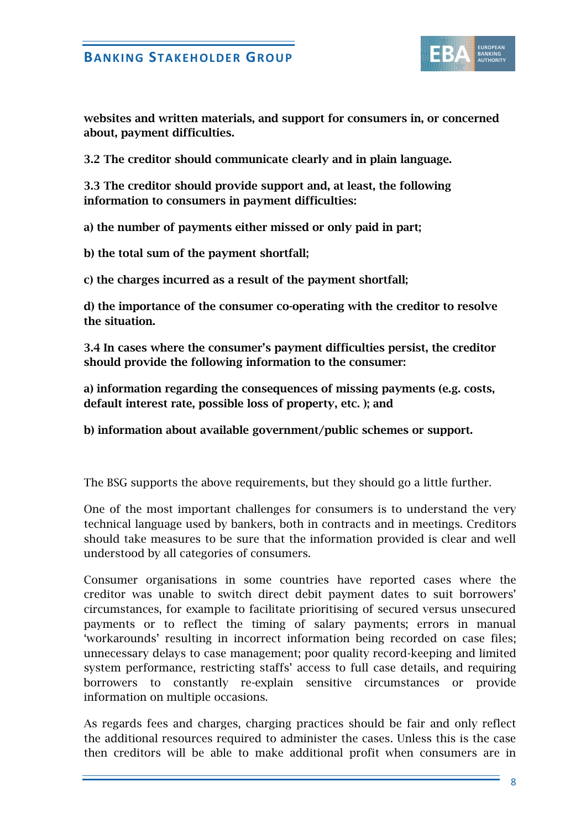

**websites and written materials, and support for consumers in, or concerned about, payment difficulties.** 

**3.2 The creditor should communicate clearly and in plain language.** 

**3.3 The creditor should provide support and, at least, the following information to consumers in payment difficulties:** 

**a) the number of payments either missed or only paid in part;** 

**b) the total sum of the payment shortfall;** 

**c) the charges incurred as a result of the payment shortfall;** 

**d) the importance of the consumer co-operating with the creditor to resolve the situation.** 

**3.4 In cases where the consumer's payment difficulties persist, the creditor should provide the following information to the consumer:**

**a) information regarding the consequences of missing payments (e.g. costs, default interest rate, possible loss of property, etc. ); and** 

**b) information about available government/public schemes or support.**

The BSG supports the above requirements, but they should go a little further.

One of the most important challenges for consumers is to understand the very technical language used by bankers, both in contracts and in meetings. Creditors should take measures to be sure that the information provided is clear and well understood by all categories of consumers.

Consumer organisations in some countries have reported cases where the creditor was unable to switch direct debit payment dates to suit borrowers' circumstances, for example to facilitate prioritising of secured versus unsecured payments or to reflect the timing of salary payments; errors in manual 'workarounds' resulting in incorrect information being recorded on case files; unnecessary delays to case management; poor quality record-keeping and limited system performance, restricting staffs' access to full case details, and requiring borrowers to constantly re-explain sensitive circumstances or provide information on multiple occasions.

As regards fees and charges, charging practices should be fair and only reflect the additional resources required to administer the cases. Unless this is the case then creditors will be able to make additional profit when consumers are in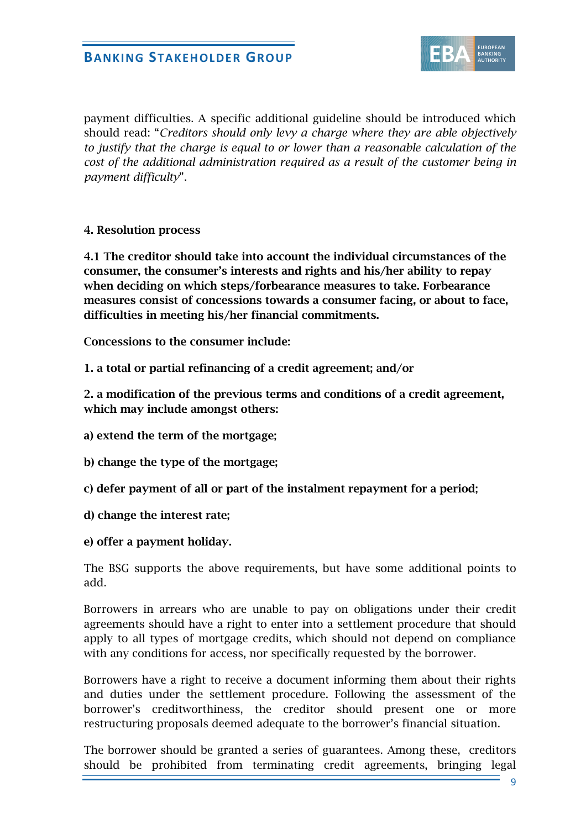

payment difficulties. A specific additional guideline should be introduced which should read: "*Creditors should only levy a charge where they are able objectively to justify that the charge is equal to or lower than a reasonable calculation of the cost of the additional administration required as a result of the customer being in payment difficulty*".

#### **4. Resolution process**

**4.1 The creditor should take into account the individual circumstances of the consumer, the consumer's interests and rights and his/her ability to repay when deciding on which steps/forbearance measures to take. Forbearance measures consist of concessions towards a consumer facing, or about to face, difficulties in meeting his/her financial commitments.** 

**Concessions to the consumer include:** 

**1. a total or partial refinancing of a credit agreement; and/or** 

**2. a modification of the previous terms and conditions of a credit agreement, which may include amongst others:** 

**a) extend the term of the mortgage;** 

**b) change the type of the mortgage;** 

**c) defer payment of all or part of the instalment repayment for a period;** 

- **d) change the interest rate;**
- **e) offer a payment holiday.**

The BSG supports the above requirements, but have some additional points to add.

Borrowers in arrears who are unable to pay on obligations under their credit agreements should have a right to enter into a settlement procedure that should apply to all types of mortgage credits, which should not depend on compliance with any conditions for access, nor specifically requested by the borrower.

Borrowers have a right to receive a document informing them about their rights and duties under the settlement procedure. Following the assessment of the borrower's creditworthiness, the creditor should present one or more restructuring proposals deemed adequate to the borrower's financial situation.

The borrower should be granted a series of guarantees. Among these, creditors should be prohibited from terminating credit agreements, bringing legal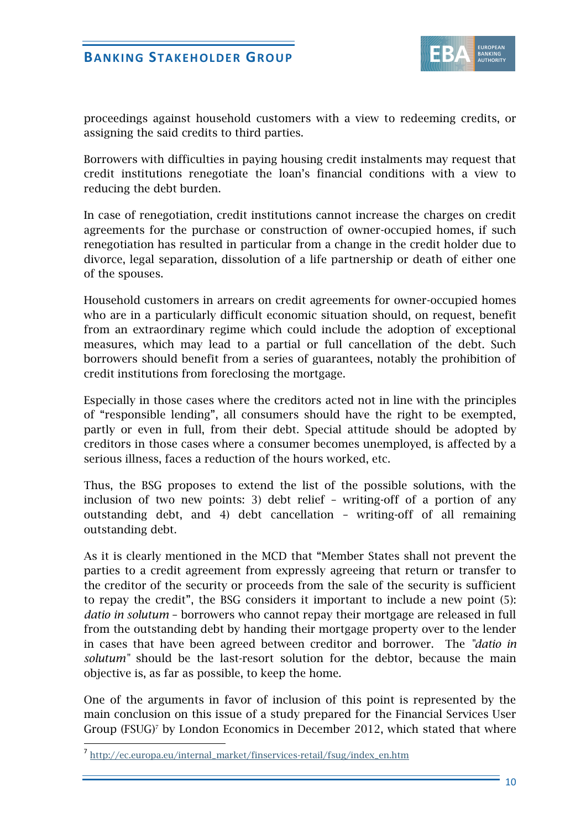

proceedings against household customers with a view to redeeming credits, or assigning the said credits to third parties.

Borrowers with difficulties in paying housing credit instalments may request that credit institutions renegotiate the loan's financial conditions with a view to reducing the debt burden.

In case of renegotiation, credit institutions cannot increase the charges on credit agreements for the purchase or construction of owner-occupied homes, if such renegotiation has resulted in particular from a change in the credit holder due to divorce, legal separation, dissolution of a life partnership or death of either one of the spouses.

Household customers in arrears on credit agreements for owner-occupied homes who are in a particularly difficult economic situation should, on request, benefit from an extraordinary regime which could include the adoption of exceptional measures, which may lead to a partial or full cancellation of the debt. Such borrowers should benefit from a series of guarantees, notably the prohibition of credit institutions from foreclosing the mortgage.

Especially in those cases where the creditors acted not in line with the principles of "responsible lending", all consumers should have the right to be exempted, partly or even in full, from their debt. Special attitude should be adopted by creditors in those cases where a consumer becomes unemployed, is affected by a serious illness, faces a reduction of the hours worked, etc.

Thus, the BSG proposes to extend the list of the possible solutions, with the inclusion of two new points: 3) debt relief – writing-off of a portion of any outstanding debt, and 4) debt cancellation – writing-off of all remaining outstanding debt.

As it is clearly mentioned in the MCD that "Member States shall not prevent the parties to a credit agreement from expressly agreeing that return or transfer to the creditor of the security or proceeds from the sale of the security is sufficient to repay the credit", the BSG considers it important to include a new point (5): *datio in solutum* – borrowers who cannot repay their mortgage are released in full from the outstanding debt by handing their mortgage property over to the lender in cases that have been agreed between creditor and borrower. The *"datio in solutum"* should be the last-resort solution for the debtor, because the main objective is, as far as possible, to keep the home.

One of the arguments in favor of inclusion of this point is represented by the main conclusion on this issue of a study prepared for the Financial Services User Group  $(FSUG)^7$  by London Economics in December 2012, which stated that where

-

<sup>7</sup> [http://ec.europa.eu/internal\\_market/finservices-retail/fsug/index\\_en.htm](http://ec.europa.eu/internal_market/finservices-retail/fsug/index_en.htm)